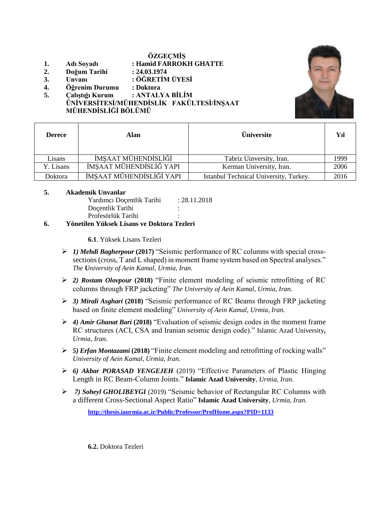#### **ÖZGEÇMİŞ**

- **1. Adı Soyadı : Hamid FARROKH GHATTE**
- **2. Doğum Tarihi : 24.03.1974**
- **3. Unvanı : ÖĞRETİM ÜYESİ**
- **4. Öğrenim Durumu : Doktora**

**5. Çalıştığı Kurum : ANTALYA BİLİM ÜNİVERSİTESİ/MÜHENDİSLİK FAKÜLTESİ/İNŞAAT MÜHENDİSLİĞİ BÖLÜMÜ**



| <b>Derece</b> | Alan                     | <b>Üniversite</b>                      | Yıl  |
|---------------|--------------------------|----------------------------------------|------|
| Lisans        | İMSAAT MÜHENDİSLİĞİ      | Tabriz Uinversity, Iran.               | 1999 |
| Y. Lisans     | İMŞAAT MÜHENDİSLİĞ YAPI  | Kerman University, Iran.               | 2006 |
| Doktora       | İMŞAAT MÜHENDİSLİĞİ YAPI | Istanbul Technical University, Turkey. | 2016 |

#### **5. Akademik Unvanlar**

| Doçentlik Tarihi                             | ٠              |
|----------------------------------------------|----------------|
| Profesörlük Tarihi                           |                |
| .<br>$\mathbf{r}$ is the set of $\mathbf{r}$ | $\mathbf{m}$ . |

# **6. Yönetilen Yüksek Lisans ve Doktora Tezleri**

**6.1**. Yüksek Lisans Tezleri

- *1) Mehdi Bagherpour* **(2017)** "Seismic performance of RC columns with special crosssections (cross, T and L shaped) in moment frame system based on Spectral analyses." *The University of Aein Kamal, Urmia, Iran.*
- *2) Rostam Olovpour* **(2018)** "Finite element modeling of seismic retrofitting of RC columns through FRP jacketing" *The University of Aein Kamal, Urmia, Iran.*
- *3) Mirali Asghari* **(2018)** "Seismic performance of RC Beams through FRP jacketing based on finite element modeling" *University of Aein Kamal, Urmia, Iran.*
- *4) Amir Ghanat Bari* **(2018)** "Evaluation of seismic design codes in the moment frame RC structures (ACI, CSA and Iranian seismic design code)." Islamic Azad University*, Urmia, Iran.*
- *5) Erfan Montazami* **(2018)** "Finite element modeling and retrofitting of rocking walls" *University of Aein Kamal, Urmia, Iran.*
- *6) Akbar PORASAD YENGEJEH* (2019) "Effective Parameters of Plastic Hinging Length in RC Beam-Column Joints." **Islamic Azad University***, Urmia, Iran.*
- *7) Soheyl GHOLIBEYGI* (2019) "Seismic behavior of Rectangular RC Columns with a different Cross-Sectional Aspect Ratio" **Islamic Azad University***, Urmia, Iran.*

**<http://thesis.iaurmia.ac.ir/Public/Professor/ProfHome.aspx?PID=1133>**

**6.2.** Doktora Tezleri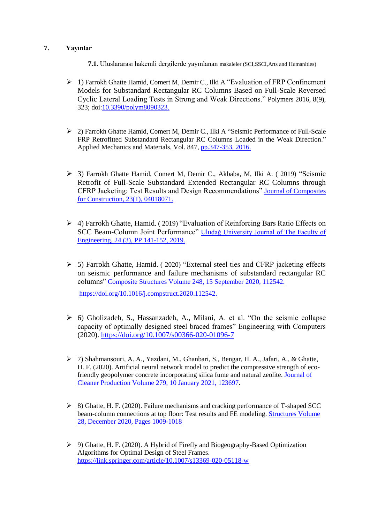# **7. Yayınlar**

- **7.1.** Uluslararası hakemli dergilerde yayınlanan makaleler (SCI,SSCI,Arts and Humanities)
- $\geq 1$ ) Farrokh Ghatte Hamid, Comert M, Demir C., Ilki A "Evaluation of FRP Confinement" Models for Substandard Rectangular RC Columns Based on Full-Scale Reversed Cyclic Lateral Loading Tests in Strong and Weak Directions." Polymers 2016, 8(9), 323; doi[:10.3390/polym8090323.](http://dx.doi.org/10.3390/polym8090323)
- 2) Farrokh Ghatte Hamid, Comert M, Demir C., Ilki A ["Seismic Performance](https://www.researchgate.net/profile/Hamid_F_Ghatte/publication/278966147_Seismic_performance_of_full-scale_FRP_retrofitted_substandard_rectangular_rc_columns_loaded_in_the_weak_direction/links/55993e2108ae793d137fe906.pdf) of Full-Scale [FRP Retrofitted Substandard Rectangular RC Columns Loaded in the Weak Direction.](https://www.researchgate.net/profile/Hamid_F_Ghatte/publication/278966147_Seismic_performance_of_full-scale_FRP_retrofitted_substandard_rectangular_rc_columns_loaded_in_the_weak_direction/links/55993e2108ae793d137fe906.pdf)" Applied Mechanics and Materials, Vol. 847, [pp.347-353, 2016.](https://www.scientific.net/AMM.847.347)
- 3) Farrokh Ghatte Hamid, Comert M, Demir C., Akbaba, M, Ilki A. ( 2019) "Seismic Retrofit of Full-Scale Substandard Extended Rectangular RC Columns through CFRP Jacketing: Test Results and Design Recommendations" [Journal of Composites](https://ascelibrary.org/doi/10.1061/%28ASCE%29CC.1943-5614.0000907)  [for Construction, 23\(1\), 04018071.](https://ascelibrary.org/doi/10.1061/%28ASCE%29CC.1943-5614.0000907)
- 4) Farrokh Ghatte, Hamid. ( 2019) "Evaluation of Reinforcing Bars Ratio Effects on SCC Beam-Column Joint Performance" [Uludağ University Journal of The Faculty of](https://dergipark.org.tr/en/pub/uumfd/issue/49627/587505)  [Engineering, 24 \(3\), PP 141-152, 2019.](https://dergipark.org.tr/en/pub/uumfd/issue/49627/587505)
- 5) Farrokh Ghatte, Hamid. ( 2020) "External steel ties and CFRP jacketing effects on seismic performance and failure mechanisms of substandard rectangular RC columns" [Composite Structures Volume 248, 15 September 2020, 112542.](https://www.sciencedirect.com/science/article/pii/S026382232031206X) [https://doi.org/10.1016/j.compstruct.2020.112542.](http://dx.doi.org/10.3390/polym8090323)

- 6) Gholizadeh, S., Hassanzadeh, A., Milani, A. et al. "On the seismic collapse capacity of optimally designed steel braced frames" Engineering with Computers (2020).<https://doi.org/10.1007/s00366-020-01096-7>
- 7) Shahmansouri, A. A., Yazdani, M., Ghanbari, S., Bengar, H. A., Jafari, A., & Ghatte, H. F. (2020). Artificial neural network model to predict the compressive strength of ecofriendly geopolymer concrete incorporating silica fume and natural zeolite. [Journal of](https://www.sciencedirect.com/science/article/pii/S0959652620337422?casa_token=p5EmgmhADcwAAAAA:y3aPXoZTmiRME2gtksSSW5CAh7KJ2XuGfH6L-Xh6ufETkxQ7_6IEeXgHLyxD7IWwn0fsmcXP4y4)  [Cleaner Production Volume 279, 10 January 2021, 123697.](https://www.sciencedirect.com/science/article/pii/S0959652620337422?casa_token=p5EmgmhADcwAAAAA:y3aPXoZTmiRME2gtksSSW5CAh7KJ2XuGfH6L-Xh6ufETkxQ7_6IEeXgHLyxD7IWwn0fsmcXP4y4)
- $\geq$  8) Ghatte, H. F. (2020). Failure mechanisms and cracking performance of T-shaped SCC beam-column connections at top floor: Test results and FE modeling. [Structures Volume](https://www.sciencedirect.com/science/article/pii/S2352012420305270)  [28, December 2020, Pages 1009-1018](https://www.sciencedirect.com/science/article/pii/S2352012420305270)
- 9) Ghatte, H. F. (2020). A Hybrid of Firefly and Biogeography-Based Optimization Algorithms for Optimal Design of Steel Frames. <https://link.springer.com/article/10.1007/s13369-020-05118-w>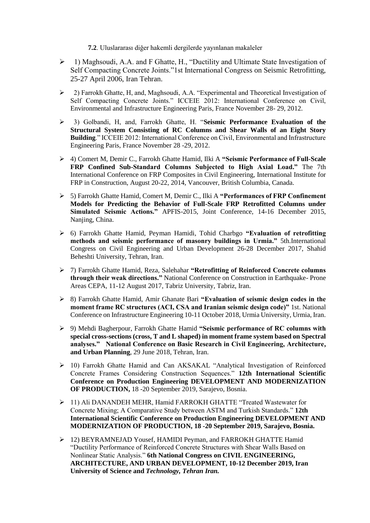**7.2**. Uluslararası diğer hakemli dergilerde yayınlanan makaleler

- 1) Maghsoudi, A.A. and F Ghatte, H., "Ductility and Ultimate State Investigation of Self Compacting Concrete Joints."1st International Congress on Seismic Retrofitting, 25-27 April 2006, Iran Tehran.
- 2) Farrokh Ghatte, H, and, Maghsoudi, A.A. "Experimental and Theoretical Investigation of Self Compacting Concrete Joints." ICCEIE 2012: International Conference on Civil, Environmental and Infrastructure Engineering Paris, France November 28- 29, 2012.
- 3) Golbandi, H, and, Farrokh Ghatte, H. "**Seismic Performance Evaluation of the Structural System Consisting of RC Columns and Shear Walls of an Eight Story Building**." ICCEIE 2012: International Conference on Civil, Environmental and Infrastructure Engineering Paris, France November 28 -29, 2012.
- 4) Comert M, Demir C., Farrokh Ghatte Hamid, Ilki A **"Seismic Performance of Full-Scale FRP Confined Sub-Standard Columns Subjected to High Axial Load."** The 7th International Conference on FRP Composites in Civil Engineering, International Institute for FRP in Construction, August 20-22, 2014, Vancouver, British Columbia, Canada.
- 5) Farrokh Ghatte Hamid, Comert M, Demir C., Ilki A **"Performances of FRP Confinement Models for Predicting the Behavior of Full-Scale FRP Retrofitted Columns under Simulated Seismic Actions."** APFIS-2015, Joint Conference, 14-16 December 2015, Nanjing, China.
- 6) Farrokh Ghatte Hamid, Peyman Hamidi, Tohid Charbgo **"Evaluation of retrofitting methods and seismic performance of masonry buildings in Urmia."** 5th.International Congress on Civil Engineering and Urban Development 26-28 December 2017, Shahid Beheshti University, Tehran, Iran.
- 7) Farrokh Ghatte Hamid, Reza, Salehahar **"Retrofitting of Reinforced Concrete columns through their weak directions."** National Conference on Construction in Earthquake- Prone Areas CEPA, 11-12 August 2017, Tabriz University, Tabriz, Iran.
- 8) Farrokh Ghatte Hamid, Amir Ghanate Bari **"Evaluation of seismic design codes in the moment frame RC structures (ACI, CSA and Iranian seismic design code)"** 1st. National Conference on Infrastructure Engineering 10-11 October 2018, Urmia University, Urmia, Iran.
- 9) Mehdi Bagherpour, Farrokh Ghatte Hamid **"Seismic performance of RC columns with special cross-sections (cross, T and L shaped) in moment frame system based on Spectral analyses." National Conference on Basic Research in Civil Engineering, Architecture, and Urban Planning**, 29 June 2018, Tehran, Iran.
- 10) Farrokh Ghatte Hamid and Can AKSAKAL "Analytical Investigation of Reinforced Concrete Frames Considering Construction Sequences." **12th International Scientific Conference on Production Engineering DEVELOPMENT AND MODERNIZATION OF PRODUCTION,** 18 -20 September 2019, Sarajevo, Bosnia.
- 11) Ali DANANDEH MEHR, Hamid FARROKH GHATTE "Treated Wastewater for Concrete Mixing; A Comparative Study between ASTM and Turkish Standards." **12th International Scientific Conference on Production Engineering DEVELOPMENT AND MODERNIZATION OF PRODUCTION, 18 -20 September 2019, Sarajevo, Bosnia.**
- $\geq 12$ ) BEYRAMNEJAD Yousef, HAMIDI Peyman, and FARROKH GHATTE Hamid "Ductility Performance of Reinforced Concrete Structures with Shear Walls Based on Nonlinear Static Analysis." **6th National Congress on CIVIL ENGINEERING, ARCHITECTURE, AND URBAN DEVELOPMENT, 10-12 December 2019, Iran University of Science and** *Technology, Tehran Iran.*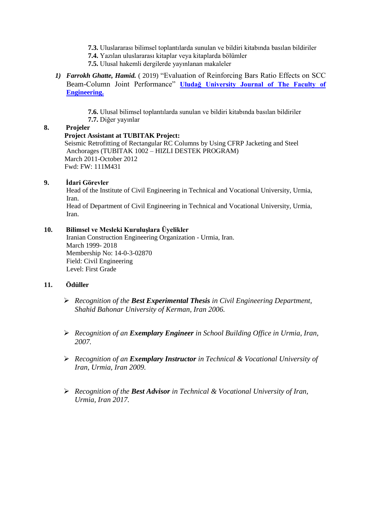- **7.3.** Uluslararası bilimsel toplantılarda sunulan ve bildiri kitabında basılan bildiriler
- **7.4.** Yazılan uluslararası kitaplar veya kitaplarda bölümler
- **7.5.** Ulusal hakemli dergilerde yayınlanan makaleler
- *1) Farrokh Ghatte, Hamid.* ( 2019) "Evaluation of Reinforcing Bars Ratio Effects on SCC Beam-Column Joint Performance" **[Uludağ University Journal of The Faculty of](https://dergipark.org.tr/en/pub/uumfd/issue/49627/587505)  [Engineering.](https://dergipark.org.tr/en/pub/uumfd/issue/49627/587505)**
	- **7.6.** Ulusal bilimsel toplantılarda sunulan ve bildiri kitabında basılan bildiriler **7.7.** Diğer yayınlar

### **8. Projeler**

 **Project Assistant at TUBITAK Project:** Seismic Retrofitting of Rectangular RC Columns by Using CFRP Jacketing and Steel Anchorages (TUBITAK 1002 – HIZLI DESTEK PROGRAM) March 2011-October 2012 Fwd: FW: 111M431

# **9. İdari Görevler**

 Head of the Institute of Civil Engineering in Technical and Vocational University, Urmia, Iran.

Head of Department of Civil Engineering in Technical and Vocational University, Urmia, Iran.

### **10. Bilimsel ve Mesleki Kuruluşlara Üyelikler**

 Iranian Construction Engineering Organization - Urmia, Iran. March 1999- 2018 Membership No: 14-0-3-02870 Field: Civil Engineering Level: First Grade

# **11. Ödüller**

- *Recognition of the Best Experimental Thesis in Civil Engineering Department, Shahid Bahonar University of Kerman, Iran 2006.*
- *Recognition of an Exemplary Engineer in School Building Office in Urmia, Iran, 2007.*
- *Recognition of an Exemplary Instructor in Technical & Vocational University of Iran, Urmia, Iran 2009.*
- *Recognition of the Best Advisor in Technical & Vocational University of Iran, Urmia, Iran 2017.*